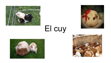

# El cuy





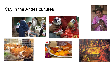#### Cuy in the Andes cultures











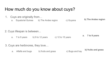# How much do you know about cuys?

- 1. Cuys are originally from…
	- a. Equatorial Guinea b) The Andes region c) Guyana

- 2. Cuys lifespan is between...
	- a.  $7$  to 9 years b) 9 to 12 years c) 12 to 15 years **a. 7 to 9 years**
- 3. Cuys are herbivores, they love…
	- a. Alfalfa and bugs b) fruits and grass c) Bugs and hay

**b) fruits and grass**

**b) The Andes region**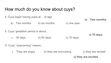# How much do you know about cuys?

- 4. Cuys begin having pups at… of age
	- a) Two months b) six months c) one year
- 5. Cuys' gestation period is about...
	- a. 30 days b) 50 days c) 70 days
- 6. Cuys' "popcorning" means...
	- a. They are angry b) they are convulsing b they are excited

**c) they are excited**

**a) Two months** 

**c) 70 days**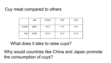# Cuy meat compared to others

|         | cuy  | chicken | beef | pork |
|---------|------|---------|------|------|
| Protein | 20 % | 18 %    | 17 % | 14 % |
| Fats    | 7.8% | 9.3%    | 21 % | 37 % |

What does it take to raise cuys?

Why would countries like China and Japan promote the consumption of cuys?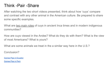# Think -Pair -Share

After watching the two short videos presented, think about how 'cuys' compare and contrast with any other animal in the American culture. Be prepared to share some specific examples.

What are two main roles of cuys in ancient lnca times and in modern indigenous communities?

How are cuys viewed in the Andes? What do they do with them? What is the view of most Americans? What is yours?

What are some animals we treat in the a similar way here in the U.S.?

Conclusion?

[Guinea Pigs in Ecuador](http://viewpure.com/6sx7wLIoPks?start=0&end=0) [Guinea Pigs in Perú](http://viewpure.com/l98aBSXYz7U?start=0&end=0)